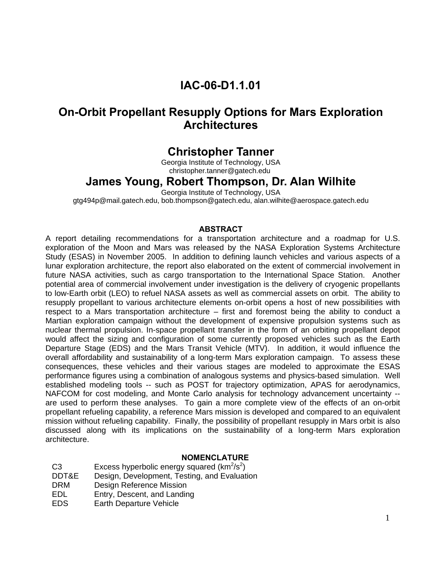# **IAC-06-D1.1.01**

# **On-Orbit Propellant Resupply Options for Mars Exploration Architectures**

# **Christopher Tanner**

Georgia Institute of Technology, USA christopher.tanner@gatech.edu

# **James Young, Robert Thompson, Dr. Alan Wilhite**

Georgia Institute of Technology, USA

gtg494p@mail.gatech.edu, bob.thompson@gatech.edu, alan.wilhite@aerospace.gatech.edu

#### **ABSTRACT**

A report detailing recommendations for a transportation architecture and a roadmap for U.S. exploration of the Moon and Mars was released by the NASA Exploration Systems Architecture Study (ESAS) in November 2005. In addition to defining launch vehicles and various aspects of a lunar exploration architecture, the report also elaborated on the extent of commercial involvement in future NASA activities, such as cargo transportation to the International Space Station. Another potential area of commercial involvement under investigation is the delivery of cryogenic propellants to low-Earth orbit (LEO) to refuel NASA assets as well as commercial assets on orbit. The ability to resupply propellant to various architecture elements on-orbit opens a host of new possibilities with respect to a Mars transportation architecture – first and foremost being the ability to conduct a Martian exploration campaign without the development of expensive propulsion systems such as nuclear thermal propulsion. In-space propellant transfer in the form of an orbiting propellant depot would affect the sizing and configuration of some currently proposed vehicles such as the Earth Departure Stage (EDS) and the Mars Transit Vehicle (MTV). In addition, it would influence the overall affordability and sustainability of a long-term Mars exploration campaign. To assess these consequences, these vehicles and their various stages are modeled to approximate the ESAS performance figures using a combination of analogous systems and physics-based simulation. Well established modeling tools -- such as POST for trajectory optimization, APAS for aerodynamics, NAFCOM for cost modeling, and Monte Carlo analysis for technology advancement uncertainty - are used to perform these analyses. To gain a more complete view of the effects of an on-orbit propellant refueling capability, a reference Mars mission is developed and compared to an equivalent mission without refueling capability. Finally, the possibility of propellant resupply in Mars orbit is also discussed along with its implications on the sustainability of a long-term Mars exploration architecture.

#### **NOMENCLATURE**

| C <sub>3</sub> | Excess hyperbolic energy squared $(km^2/s^2)$ |
|----------------|-----------------------------------------------|
| DDT&E          | Design, Development, Testing, and Evaluation  |
| <b>DRM</b>     | Design Reference Mission                      |
| EDL            | Entry, Descent, and Landing                   |
| <b>EDS</b>     | Earth Departure Vehicle                       |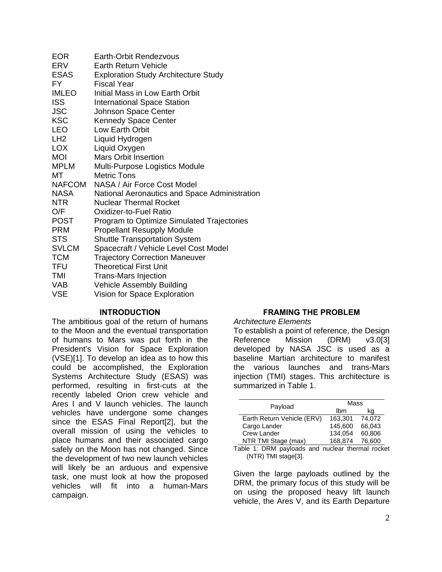| <b>EOR</b>      | Earth-Orbit Rendezvous                        |
|-----------------|-----------------------------------------------|
| ERV             | Earth Return Vehicle                          |
| <b>ESAS</b>     | <b>Exploration Study Architecture Study</b>   |
| FY.             | Fiscal Year                                   |
| <b>IMLEO</b>    | Initial Mass in Low Earth Orbit               |
| <b>ISS</b>      | <b>International Space Station</b>            |
| <b>JSC</b>      | Johnson Space Center                          |
| <b>KSC</b>      | <b>Kennedy Space Center</b>                   |
| <b>LEO</b>      | Low Earth Orbit                               |
| LH <sub>2</sub> | Liquid Hydrogen                               |
| <b>LOX</b>      | Liquid Oxygen                                 |
| <b>MOI</b>      | <b>Mars Orbit Insertion</b>                   |
| <b>MPLM</b>     | Multi-Purpose Logistics Module                |
| МT              | Metric Tons                                   |
| <b>NAFCOM</b>   | NASA / Air Force Cost Model                   |
| NASA            | National Aeronautics and Space Administration |
| <b>NTR</b>      | <b>Nuclear Thermal Rocket</b>                 |
| O/F             | Oxidizer-to-Fuel Ratio                        |
| <b>POST</b>     | Program to Optimize Simulated Trajectories    |
| <b>PRM</b>      | <b>Propellant Resupply Module</b>             |
| <b>STS</b>      | <b>Shuttle Transportation System</b>          |
| <b>SVLCM</b>    | Spacecraft / Vehicle Level Cost Model         |
| <b>TCM</b>      | <b>Trajectory Correction Maneuver</b>         |
| <b>TFU</b>      | <b>Theoretical First Unit</b>                 |
| TMI             | <b>Trans-Mars Injection</b>                   |
| VAB.            | <b>Vehicle Assembly Building</b>              |
| <b>VSE</b>      | Vision for Space Exploration                  |

#### **INTRODUCTION**

The ambitious goal of the return of humans to the Moon and the eventual transportation of humans to Mars was put forth in the President's Vision for Space Exploration (VSE)[1]. To develop an idea as to how this could be accomplished, the Exploration Systems Architecture Study (ESAS) was performed, resulting in first-cuts at the recently labeled Orion crew vehicle and Ares I and V launch vehicles. The launch vehicles have undergone some changes since the ESAS Final Report[2], but the overall mission of using the vehicles to place humans and their associated cargo safely on the Moon has not changed. Since the development of two new launch vehicles will likely be an arduous and expensive task, one must look at how the proposed vehicles will fit into a human-Mars campaign.

# **FRAMING THE PROBLEM**

*Architecture Elements*  To establish a point of reference, the Design Reference Mission (DRM) v3.0[3] developed by NASA JSC is used as a baseline Martian architecture to manifest the various launches and trans-Mars injection (TMI) stages. This architecture is summarized in Table 1.

| Payload                    | Mass       |        |  |
|----------------------------|------------|--------|--|
|                            | <b>Ibm</b> | kg     |  |
| Earth Return Vehicle (ERV) | 163.301    | 74.072 |  |
| Cargo Lander               | 145.600    | 66,043 |  |
| Crew Lander                | 134.054    | 60.806 |  |
| NTR TMI Stage (max)        | 168.874    | 76.600 |  |

Table 1: DRM payloads and nuclear thermal rocket (NTR) TMI stage[3].

Given the large payloads outlined by the DRM, the primary focus of this study will be on using the proposed heavy lift launch vehicle, the Ares V, and its Earth Departure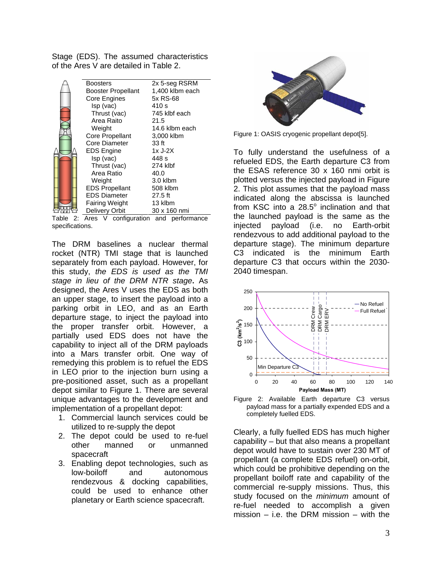Stage (EDS). The assumed characteristics of the Ares V are detailed in Table 2.

| <b>Boosters</b>           | 2x 5-seg RSRM   |
|---------------------------|-----------------|
| <b>Booster Propellant</b> | 1,400 klbm each |
| Core Engines              | 5x RS-68        |
| Isp (vac)                 | 410 s           |
| Thrust (vac)              | 745 klbf each   |
| Area Raito                | 21.5            |
| Weight                    | 14.6 klbm each  |
| Core Propellant           | 3,000 klbm      |
| Core Diameter             | 33 ft           |
| <b>EDS</b> Engine         | $1x$ J-2 $X$    |
| lsp(vac)                  | 448 s           |
| Thrust (vac)              | 274 klbf        |
| Area Ratio                | 40.0            |
| Weight                    | 3.0 klbm        |
| <b>EDS Propellant</b>     | 508 klbm        |
| <b>EDS Diameter</b>       | $27.5$ ft       |
| <b>Fairing Weight</b>     | 13 klbm         |
| Delivery Orbit            | 30 x 160 nmi    |

Table 2: Ares V configuration and performance specifications.

The DRM baselines a nuclear thermal rocket (NTR) TMI stage that is launched separately from each payload. However, for this study, *the EDS is used as the TMI stage in lieu of the DRM NTR stage***.** As designed, the Ares V uses the EDS as both an upper stage, to insert the payload into a parking orbit in LEO, and as an Earth departure stage, to inject the payload into the proper transfer orbit. However, a partially used EDS does not have the capability to inject all of the DRM payloads into a Mars transfer orbit. One way of remedying this problem is to refuel the EDS in LEO prior to the injection burn using a pre-positioned asset, such as a propellant depot similar to Figure 1. There are several unique advantages to the development and implementation of a propellant depot:

- 1. Commercial launch services could be utilized to re-supply the depot
- 2. The depot could be used to re-fuel other manned or unmanned spacecraft
- 3. Enabling depot technologies, such as low-boiloff and autonomous rendezvous & docking capabilities, could be used to enhance other planetary or Earth science spacecraft.



Figure 1: OASIS cryogenic propellant depot[5].

To fully understand the usefulness of a refueled EDS, the Earth departure C3 from the ESAS reference 30 x 160 nmi orbit is plotted versus the injected payload in Figure 2. This plot assumes that the payload mass indicated along the abscissa is launched from KSC into a  $28.5^\circ$  inclination and that the launched payload is the same as the injected payload (i.e. no Earth-orbit rendezvous to add additional payload to the departure stage). The minimum departure C3 indicated is the minimum Earth departure C3 that occurs within the 2030- 2040 timespan.



Figure 2: Available Earth departure C3 versus payload mass for a partially expended EDS and a completely fuelled EDS.

Clearly, a fully fuelled EDS has much higher capability – but that also means a propellant depot would have to sustain over 230 MT of propellant (a complete EDS refuel) on-orbit, which could be prohibitive depending on the propellant boiloff rate and capability of the commercial re-supply missions. Thus, this study focused on the *minimum* amount of re-fuel needed to accomplish a given mission – i.e. the DRM mission – with the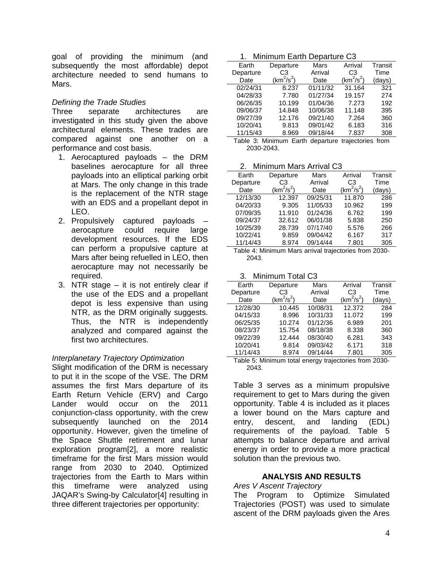goal of providing the minimum (and subsequently the most affordable) depot architecture needed to send humans to Mars.

### *Defining the Trade Studies*

Three separate architectures are investigated in this study given the above architectural elements. These trades are compared against one another on a performance and cost basis.

- 1. Aerocaptured payloads the DRM baselines aerocapture for all three payloads into an elliptical parking orbit at Mars. The only change in this trade is the replacement of the NTR stage with an EDS and a propellant depot in LEO.
- 2. Propulsively captured payloads aerocapture could require large development resources. If the EDS can perform a propulsive capture at Mars after being refuelled in LEO, then aerocapture may not necessarily be required.
- 3. NTR stage it is not entirely clear if the use of the EDS and a propellant depot is less expensive than using NTR, as the DRM originally suggests. Thus, the NTR is independently analyzed and compared against the first two architectures.

# *Interplanetary Trajectory Optimization*

Slight modification of the DRM is necessary to put it in the scope of the VSE. The DRM assumes the first Mars departure of its Earth Return Vehicle (ERV) and Cargo Lander would occur on the 2011 conjunction-class opportunity, with the crew subsequently launched on the 2014 opportunity. However, given the timeline of the Space Shuttle retirement and lunar exploration program[2], a more realistic timeframe for the first Mars mission would range from 2030 to 2040. Optimized trajectories from the Earth to Mars within this timeframe were analyzed using JAQAR's Swing-by Calculator[4] resulting in three different trajectories per opportunity:

| 1. Minimum Earth Departure C3 |  |  |  |  |  |
|-------------------------------|--|--|--|--|--|
|-------------------------------|--|--|--|--|--|

| Earth     | Departure    | Mars     | Arrival      | Transit |
|-----------|--------------|----------|--------------|---------|
| Departure | CЗ           | Arrival  | CЗ           | Time    |
| Date      | $(km^2/s^2)$ | Date     | $(km^2/s^2)$ | (days)  |
| 02/24/31  | 8.237        | 01/11/32 | 31.164       | 321     |
| 04/28/33  | 7.780        | 01/27/34 | 19.157       | 274     |
| 06/26/35  | 10.199       | 01/04/36 | 7.273        | 192     |
| 09/06/37  | 14.848       | 10/06/38 | 11.148       | 395     |
| 09/27/39  | 12.176       | 09/21/40 | 7.264        | 360     |
| 10/20/41  | 9.813        | 09/01/42 | 6.183        | 316     |
| 11/15/43  | 8.969        | 09/18/44 | 7.837        | 308     |

Table 3: Minimum Earth departure trajectories from 2030-2043.

#### 2. Minimum Mars Arrival C3

| Earth     | Departure    | Mars     | Arrival      | Transit |
|-----------|--------------|----------|--------------|---------|
| Departure | CЗ           | Arrival  | C3           | Time    |
| Date      | $(km^2/s^2)$ | Date     | $(km^2/s^2)$ | (days)  |
| 12/13/30  | 12.397       | 09/25/31 | 11.870       | 286     |
| 04/20/33  | 9.305        | 11/05/33 | 10.962       | 199     |
| 07/09/35  | 11.910       | 01/24/36 | 6.762        | 199     |
| 09/24/37  | 32.612       | 06/01/38 | 5.838        | 250     |
| 10/25/39  | 28.739       | 07/17/40 | 5.576        | 266     |
| 10/22/41  | 9.859        | 09/04/42 | 6.167        | 317     |
| 11/14/43  | 8.974        | 09/14/44 | 7.801        | 305     |

Table 4: Minimum Mars arrival trajectories from 2030- 2043.

#### 3. Minimum Total C3

| Earth     | Departure    | Mars     | Arrival      | Transit |
|-----------|--------------|----------|--------------|---------|
| Departure | C3           | Arrival  | C3           | Time    |
| Date      | $(km^2/s^2)$ | Date     | $(km^2/s^2)$ | (days)  |
| 12/28/30  | 10.445       | 10/08/31 | 12.372       | 284     |
| 04/15/33  | 8.996        | 10/31/33 | 11.072       | 199     |
| 06/25/35  | 10.274       | 01/12/36 | 6.989        | 201     |
| 08/23/37  | 15.754       | 08/18/38 | 8.338        | 360     |
| 09/22/39  | 12.444       | 08/30/40 | 6.281        | 343     |
| 10/20/41  | 9.814        | 09/03/42 | 6.171        | 318     |
| 11/14/43  | 8.974        | 09/14/44 | 7.801        | 305     |

Table 5: Minimum total energy trajectories from 2030- 2043.

Table 3 serves as a minimum propulsive requirement to get to Mars during the given opportunity. Table 4 is included as it places a lower bound on the Mars capture and entry, descent, and landing (EDL) requirements of the payload. Table 5 attempts to balance departure and arrival energy in order to provide a more practical solution than the previous two.

#### **ANALYSIS AND RESULTS**

#### *Ares V Ascent Trajectory*

The Program to Optimize Simulated Trajectories (POST) was used to simulate ascent of the DRM payloads given the Ares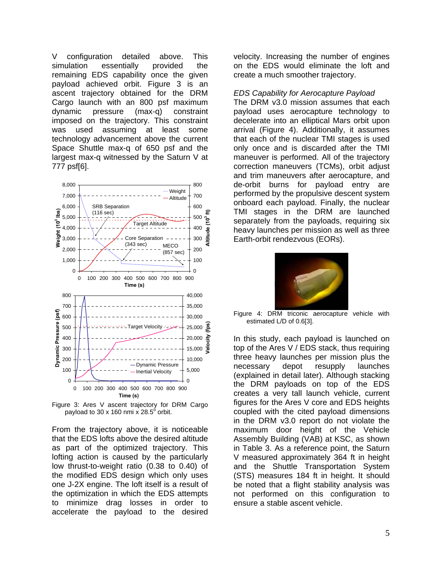V configuration detailed above. This simulation essentially provided the remaining EDS capability once the given payload achieved orbit. Figure 3 is an ascent trajectory obtained for the DRM Cargo launch with an 800 psf maximum dynamic pressure (max-q) constraint imposed on the trajectory. This constraint was used assuming at least some technology advancement above the current Space Shuttle max-q of 650 psf and the largest max-q witnessed by the Saturn V at 777 psf[6].



Figure 3: Ares V ascent trajectory for DRM Cargo payload to 30 x 160 nmi x 28.5 $^{\circ}$  orbit.

From the trajectory above, it is noticeable that the EDS lofts above the desired altitude as part of the optimized trajectory. This lofting action is caused by the particularly low thrust-to-weight ratio (0.38 to 0.40) of the modified EDS design which only uses one J-2X engine. The loft itself is a result of the optimization in which the EDS attempts to minimize drag losses in order to accelerate the payload to the desired

velocity. Increasing the number of engines on the EDS would eliminate the loft and create a much smoother trajectory.

#### *EDS Capability for Aerocapture Payload*

The DRM v3.0 mission assumes that each payload uses aerocapture technology to decelerate into an elliptical Mars orbit upon arrival (Figure 4). Additionally, it assumes that each of the nuclear TMI stages is used only once and is discarded after the TMI maneuver is performed. All of the trajectory correction maneuvers (TCMs), orbit adjust and trim maneuvers after aerocapture, and de-orbit burns for payload entry are performed by the propulsive descent system onboard each payload. Finally, the nuclear TMI stages in the DRM are launched separately from the payloads, requiring six heavy launches per mission as well as three Earth-orbit rendezvous (EORs).



Figure 4: DRM triconic aerocapture vehicle with estimated L/D of 0.6[3].

In this study, each payload is launched on top of the Ares V / EDS stack, thus requiring three heavy launches per mission plus the necessary depot resupply launches (explained in detail later). Although stacking the DRM payloads on top of the EDS creates a very tall launch vehicle, current figures for the Ares V core and EDS heights coupled with the cited payload dimensions in the DRM v3.0 report do not violate the maximum door height of the Vehicle Assembly Building (VAB) at KSC, as shown in Table 3. As a reference point, the Saturn V measured approximately 364 ft in height and the Shuttle Transportation System (STS) measures 184 ft in height. It should be noted that a flight stability analysis was not performed on this configuration to ensure a stable ascent vehicle.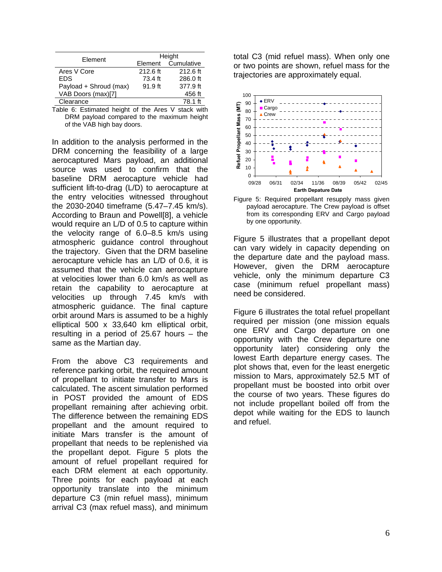| Element                | Height   |                    |  |
|------------------------|----------|--------------------|--|
|                        |          | Element Cumulative |  |
| Ares V Core            | 212.6 ft | 212.6 ft           |  |
| <b>EDS</b>             | 73.4 ft  | 286.0 ft           |  |
| Payload + Shroud (max) | 91.9 ft  | 377.9 ft           |  |
| VAB Doors (max)[7]     |          | 456 ft             |  |
| Clearance              |          | 78.1 ft            |  |

Table 6: Estimated height of the Ares V stack with DRM payload compared to the maximum height of the VAB high bay doors.

In addition to the analysis performed in the DRM concerning the feasibility of a large aerocaptured Mars payload, an additional source was used to confirm that the baseline DRM aerocapture vehicle had sufficient lift-to-drag (L/D) to aerocapture at the entry velocities witnessed throughout the 2030-2040 timeframe (5.47–7.45 km/s). According to Braun and Powell[8], a vehicle would require an L/D of 0.5 to capture within the velocity range of 6.0–8.5 km/s using atmospheric guidance control throughout the trajectory. Given that the DRM baseline aerocapture vehicle has an L/D of 0.6, it is assumed that the vehicle can aerocapture at velocities lower than 6.0 km/s as well as retain the capability to aerocapture at velocities up through 7.45 km/s with atmospheric guidance. The final capture orbit around Mars is assumed to be a highly elliptical 500 x 33,640 km elliptical orbit, resulting in a period of 25.67 hours – the same as the Martian day.

From the above C3 requirements and reference parking orbit, the required amount of propellant to initiate transfer to Mars is calculated. The ascent simulation performed in POST provided the amount of EDS propellant remaining after achieving orbit. The difference between the remaining EDS propellant and the amount required to initiate Mars transfer is the amount of propellant that needs to be replenished via the propellant depot. Figure 5 plots the amount of refuel propellant required for each DRM element at each opportunity. Three points for each payload at each opportunity translate into the minimum departure C3 (min refuel mass), minimum arrival C3 (max refuel mass), and minimum

total C3 (mid refuel mass). When only one or two points are shown, refuel mass for the trajectories are approximately equal.



Figure 5: Required propellant resupply mass given payload aerocapture. The Crew payload is offset from its corresponding ERV and Cargo payload by one opportunity.

Figure 5 illustrates that a propellant depot can vary widely in capacity depending on the departure date and the payload mass. However, given the DRM aerocapture vehicle, only the minimum departure C3 case (minimum refuel propellant mass) need be considered.

Figure 6 illustrates the total refuel propellant required per mission (one mission equals one ERV and Cargo departure on one opportunity with the Crew departure one opportunity later) considering only the lowest Earth departure energy cases. The plot shows that, even for the least energetic mission to Mars, approximately 52.5 MT of propellant must be boosted into orbit over the course of two years. These figures do not include propellant boiled off from the depot while waiting for the EDS to launch and refuel.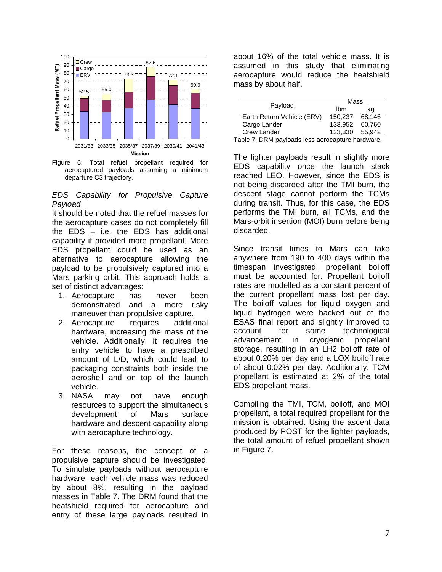

Figure 6: Total refuel propellant required for aerocaptured payloads assuming a minimum departure C3 trajectory.

#### *EDS Capability for Propulsive Capture Payload*

It should be noted that the refuel masses for the aerocapture cases do not completely fill the EDS – i.e. the EDS has additional capability if provided more propellant. More EDS propellant could be used as an alternative to aerocapture allowing the payload to be propulsively captured into a Mars parking orbit. This approach holds a set of distinct advantages:

- 1. Aerocapture has never been demonstrated and a more risky maneuver than propulsive capture.
- 2. Aerocapture requires additional hardware, increasing the mass of the vehicle. Additionally, it requires the entry vehicle to have a prescribed amount of L/D, which could lead to packaging constraints both inside the aeroshell and on top of the launch vehicle.
- 3. NASA may not have enough resources to support the simultaneous development of Mars surface hardware and descent capability along with aerocapture technology.

For these reasons, the concept of a propulsive capture should be investigated. To simulate payloads without aerocapture hardware, each vehicle mass was reduced by about 8%, resulting in the payload masses in Table 7. The DRM found that the heatshield required for aerocapture and entry of these large payloads resulted in

about 16% of the total vehicle mass. It is assumed in this study that eliminating aerocapture would reduce the heatshield mass by about half.

| Payload                                          | Mass       |        |  |  |
|--------------------------------------------------|------------|--------|--|--|
|                                                  | <b>Ibm</b> | ka     |  |  |
| Earth Return Vehicle (ERV)                       | 150,237    | 68.146 |  |  |
| Cargo Lander                                     | 133.952    | 60.760 |  |  |
| Crew Lander                                      | 123.330    | 55.942 |  |  |
| Table 7: DRM payloads less aerocapture hardware. |            |        |  |  |

The lighter payloads result in slightly more EDS capability once the launch stack reached LEO. However, since the EDS is not being discarded after the TMI burn, the descent stage cannot perform the TCMs during transit. Thus, for this case, the EDS performs the TMI burn, all TCMs, and the Mars-orbit insertion (MOI) burn before being discarded.

Since transit times to Mars can take anywhere from 190 to 400 days within the timespan investigated, propellant boiloff must be accounted for. Propellant boiloff rates are modelled as a constant percent of the current propellant mass lost per day. The boiloff values for liquid oxygen and liquid hydrogen were backed out of the ESAS final report and slightly improved to account for some technological advancement in cryogenic propellant storage, resulting in an LH2 boiloff rate of about 0.20% per day and a LOX boiloff rate of about 0.02% per day. Additionally, TCM propellant is estimated at 2% of the total EDS propellant mass.

Compiling the TMI, TCM, boiloff, and MOI propellant, a total required propellant for the mission is obtained. Using the ascent data produced by POST for the lighter payloads, the total amount of refuel propellant shown in Figure 7.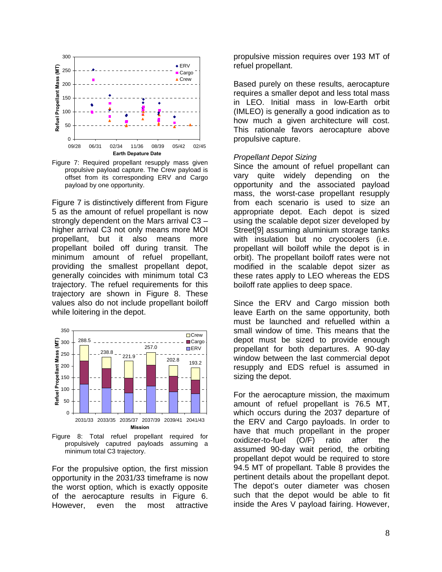

Figure 7: Required propellant resupply mass given propulsive payload capture. The Crew payload is offset from its corresponding ERV and Cargo payload by one opportunity.

Figure 7 is distinctively different from Figure 5 as the amount of refuel propellant is now strongly dependent on the Mars arrival C3 – higher arrival C3 not only means more MOI propellant, but it also means more propellant boiled off during transit. The minimum amount of refuel propellant, providing the smallest propellant depot, generally coincides with minimum total C3 trajectory. The refuel requirements for this trajectory are shown in Figure 8. These values also do not include propellant boiloff while loitering in the depot.



Figure 8: Total refuel propellant required for propulsively caputred payloads assuming a minimum total C3 trajectory.

For the propulsive option, the first mission opportunity in the 2031/33 timeframe is now the worst option, which is exactly opposite of the aerocapture results in Figure 6. However, even the most attractive

propulsive mission requires over 193 MT of refuel propellant.

Based purely on these results, aerocapture requires a smaller depot and less total mass in LEO. Initial mass in low-Earth orbit (IMLEO) is generally a good indication as to how much a given architecture will cost. This rationale favors aerocapture above propulsive capture.

#### *Propellant Depot Sizing*

Since the amount of refuel propellant can vary quite widely depending on the opportunity and the associated payload mass, the worst-case propellant resupply from each scenario is used to size an appropriate depot. Each depot is sized using the scalable depot sizer developed by Street[9] assuming aluminium storage tanks with insulation but no cryocoolers (i.e. propellant will boiloff while the depot is in orbit). The propellant boiloff rates were not modified in the scalable depot sizer as these rates apply to LEO whereas the EDS boiloff rate applies to deep space.

Since the ERV and Cargo mission both leave Earth on the same opportunity, both must be launched and refuelled within a small window of time. This means that the depot must be sized to provide enough propellant for both departures. A 90-day window between the last commercial depot resupply and EDS refuel is assumed in sizing the depot.

For the aerocapture mission, the maximum amount of refuel propellant is 76.5 MT, which occurs during the 2037 departure of the ERV and Cargo payloads. In order to have that much propellant in the proper oxidizer-to-fuel (O/F) ratio after the assumed 90-day wait period, the orbiting propellant depot would be required to store 94.5 MT of propellant. Table 8 provides the pertinent details about the propellant depot. The depot's outer diameter was chosen such that the depot would be able to fit inside the Ares V payload fairing. However,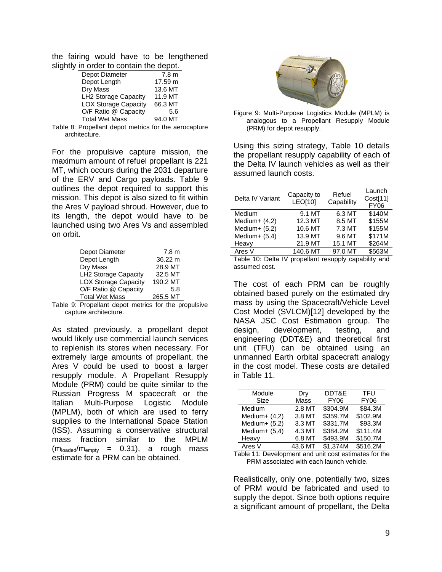|                                         |  |  | the fairing would have to be lengthened |
|-----------------------------------------|--|--|-----------------------------------------|
| slightly in order to contain the depot. |  |  |                                         |

| in order to contain the depot. |                  |
|--------------------------------|------------------|
| Depot Diameter                 | 7.8 <sub>m</sub> |
| Depot Length                   | 17.59 m          |
| Dry Mass                       | 13.6 MT          |
| LH2 Storage Capacity           | 11.9 MT          |
| <b>LOX Storage Capacity</b>    | 66.3 MT          |
| O/F Ratio @ Capacity           | 5.6              |
| <b>Total Wet Mass</b>          | 94.0 MT          |

Table 8: Propellant depot metrics for the aerocapture architecture.

For the propulsive capture mission, the maximum amount of refuel propellant is 221 MT, which occurs during the 2031 departure of the ERV and Cargo payloads. Table 9 outlines the depot required to support this mission. This depot is also sized to fit within the Ares V payload shroud. However, due to its length, the depot would have to be launched using two Ares Vs and assembled on orbit.

| Depot Diameter              | 7.8 <sub>m</sub> |
|-----------------------------|------------------|
| Depot Length                | 36.22 m          |
| Dry Mass                    | 28.9 MT          |
| LH2 Storage Capacity        | 32.5 MT          |
| <b>LOX Storage Capacity</b> | 190.2 MT         |
| O/F Ratio @ Capacity        | 5.8              |
| <b>Total Wet Mass</b>       | 265.5 MT         |

Table 9: Propellant depot metrics for the propulsive capture architecture.

As stated previously, a propellant depot would likely use commercial launch services to replenish its stores when necessary. For extremely large amounts of propellant, the Ares V could be used to boost a larger resupply module. A Propellant Resupply Module (PRM) could be quite similar to the Russian Progress M spacecraft or the Italian Multi-Purpose Logistic Module (MPLM), both of which are used to ferry supplies to the International Space Station (ISS). Assuming a conservative structural mass fraction similar to the MPLM  $(m_{\text{loaded}}/m_{\text{empty}} = 0.31)$ , a rough mass estimate for a PRM can be obtained.



Figure 9: Multi-Purpose Logistics Module (MPLM) is analogous to a Propellant Resupply Module (PRM) for depot resupply.

Using this sizing strategy, Table 10 details the propellant resupply capability of each of the Delta IV launch vehicles as well as their assumed launch costs.

| Delta IV Variant   | Capacity to<br>LEO[10] | Refuel<br>Capability | Launch<br>Cost[11]<br><b>FY06</b> |
|--------------------|------------------------|----------------------|-----------------------------------|
| Medium             | 9.1 MT                 | 6.3 MT               | \$140M                            |
| Medium $+$ (4,2)   | 12.3 MT                | 8.5 MT               | \$155M                            |
| Medium $+$ (5,2)   | 10.6 MT                | 7.3 MT               | \$155M                            |
| Medium $+$ $(5,4)$ | 13.9 MT                | 9.6 MT               | \$171M                            |
| Heavy              | 21.9 MT                | 15.1 MT              | \$264M                            |
| Ares V             | 140.6 MT               | 97.0 MT              | \$563M                            |

Table 10: Delta IV propellant resupply capability and assumed cost.

The cost of each PRM can be roughly obtained based purely on the estimated dry mass by using the Spacecraft/Vehicle Level Cost Model (SVLCM)[12] developed by the NASA JSC Cost Estimation group. The design, development, testing, and engineering (DDT&E) and theoretical first unit (TFU) can be obtained using an unmanned Earth orbital spacecraft analogy in the cost model. These costs are detailed in Table 11.

| Module             | Dry     | DDT&E       | <b>TFU</b>  |
|--------------------|---------|-------------|-------------|
| Size               | Mass    | <b>FY06</b> | <b>FY06</b> |
| Medium             | 2.8 MT  | \$304.9M    | \$84.3M     |
| Medium $+$ (4,2)   | 3.8 MT  | \$359.7M    | \$102.9M    |
| Medium $+$ $(5,2)$ | 3.3 MT  | \$331.7M    | \$93.3M     |
| Medium $+$ $(5,4)$ | 4.3 MT  | \$384.2M    | \$111.4M    |
| Heavy              | 6.8 MT  | \$493.9M    | \$150.7M    |
| Ares V             | 43.6 MT | \$1.374M    | \$516.2M    |

Table 11: Development and unit cost estimates for the PRM associated with each launch vehicle.

Realistically, only one, potentially two, sizes of PRM would be fabricated and used to supply the depot. Since both options require a significant amount of propellant, the Delta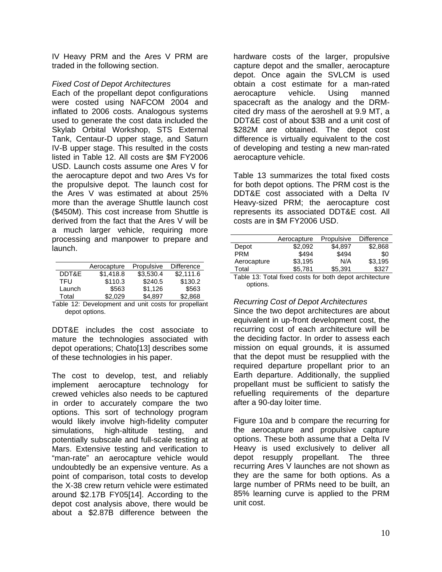IV Heavy PRM and the Ares V PRM are traded in the following section.

# *Fixed Cost of Depot Architectures*

Each of the propellant depot configurations were costed using NAFCOM 2004 and inflated to 2006 costs. Analogous systems used to generate the cost data included the Skylab Orbital Workshop, STS External Tank, Centaur-D upper stage, and Saturn IV-B upper stage. This resulted in the costs listed in Table 12. All costs are \$M FY2006 USD. Launch costs assume one Ares V for the aerocapture depot and two Ares Vs for the propulsive depot. The launch cost for the Ares V was estimated at about 25% more than the average Shuttle launch cost (\$450M). This cost increase from Shuttle is derived from the fact that the Ares V will be a much larger vehicle, requiring more processing and manpower to prepare and launch.

|        | Aerocapture | Propulsive | <b>Difference</b> |
|--------|-------------|------------|-------------------|
| DDT&E  | \$1,418.8   | \$3,530.4  | \$2,111.6         |
| TFU    | \$110.3     | \$240.5    | \$130.2           |
| Launch | \$563       | \$1,126    | \$563             |
| Total  | \$2.029     | \$4.897    | \$2.868           |

Table 12: Development and unit costs for propellant depot options.

DDT&E includes the cost associate to mature the technologies associated with depot operations; Chato[13] describes some of these technologies in his paper.

The cost to develop, test, and reliably implement aerocapture technology for crewed vehicles also needs to be captured in order to accurately compare the two options. This sort of technology program would likely involve high-fidelity computer simulations, high-altitude testing, and potentially subscale and full-scale testing at Mars. Extensive testing and verification to "man-rate" an aerocapture vehicle would undoubtedly be an expensive venture. As a point of comparison, total costs to develop the X-38 crew return vehicle were estimated around \$2.17B FY05[14]. According to the depot cost analysis above, there would be about a \$2.87B difference between the

hardware costs of the larger, propulsive capture depot and the smaller, aerocapture depot. Once again the SVLCM is used obtain a cost estimate for a man-rated aerocapture vehicle. Using manned spacecraft as the analogy and the DRMcited dry mass of the aeroshell at 9.9 MT, a DDT&E cost of about \$3B and a unit cost of \$282M are obtained. The depot cost difference is virtually equivalent to the cost of developing and testing a new man-rated aerocapture vehicle.

Table 13 summarizes the total fixed costs for both depot options. The PRM cost is the DDT&E cost associated with a Delta IV Heavy-sized PRM; the aerocapture cost represents its associated DDT&E cost. All costs are in \$M FY2006 USD.

|             | Aerocapture | Propulsive | <b>Difference</b> |
|-------------|-------------|------------|-------------------|
| Depot       | \$2.092     | \$4.897    | \$2,868           |
| <b>PRM</b>  | \$494       | \$494      | \$0               |
| Aerocapture | \$3.195     | N/A        | \$3,195           |
| Total       | \$5.781     | \$5.391    | \$327             |
| .           |             | .          | .                 |

Table 13: Total fixed costs for both depot architecture options.

### *Recurring Cost of Depot Architectures*

Since the two depot architectures are about equivalent in up-front development cost, the recurring cost of each architecture will be the deciding factor. In order to assess each mission on equal grounds, it is assumed that the depot must be resupplied with the required departure propellant prior to an Earth departure. Additionally, the supplied propellant must be sufficient to satisfy the refuelling requirements of the departure after a 90-day loiter time.

Figure 10a and b compare the recurring for the aerocapture and propulsive capture options. These both assume that a Delta IV Heavy is used exclusively to deliver all depot resupply propellant. The three recurring Ares V launches are not shown as they are the same for both options. As a large number of PRMs need to be built, an 85% learning curve is applied to the PRM unit cost.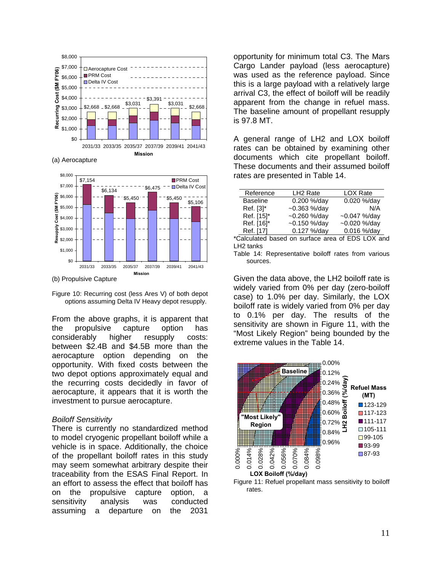



(b) Propulsive Capture

Figure 10: Recurring cost (less Ares V) of both depot options assuming Delta IV Heavy depot resupply.

From the above graphs, it is apparent that the propulsive capture option has considerably higher resupply costs: between \$2.4B and \$4.5B more than the aerocapture option depending on the opportunity. With fixed costs between the two depot options approximately equal and the recurring costs decidedly in favor of aerocapture, it appears that it is worth the investment to pursue aerocapture.

#### *Boiloff Sensitivity*

There is currently no standardized method to model cryogenic propellant boiloff while a vehicle is in space. Additionally, the choice of the propellant boiloff rates in this study may seem somewhat arbitrary despite their traceability from the ESAS Final Report. In an effort to assess the effect that boiloff has on the propulsive capture option, a sensitivity analysis was conducted assuming a departure on the 2031

opportunity for minimum total C3. The Mars Cargo Lander payload (less aerocapture) was used as the reference payload. Since this is a large payload with a relatively large arrival C3, the effect of boiloff will be readily apparent from the change in refuel mass. The baseline amount of propellant resupply is 97.8 MT.

A general range of LH2 and LOX boiloff rates can be obtained by examining other documents which cite propellant boiloff. These documents and their assumed boiloff rates are presented in Table 14.

| Reference       | LH <sub>2</sub> Rate | LOX Rate       |
|-----------------|----------------------|----------------|
| <b>Baseline</b> | 0.200 %/day          | 0.020 %/day    |
| Ref. [3]*       | $-0.363$ %/day       | N/A            |
| Ref. [15]*      | $-0.260$ %/day       | $-0.047$ %/day |
| Ref. [16]*      | $-0.150$ %/day       | $-0.020$ %/day |
| Ref. [17]       | 0.127 %/day          | 0.016 %/day    |

\*Calculated based on surface area of EDS LOX and LH2 tanks

Given the data above, the LH2 boiloff rate is widely varied from 0% per day (zero-boiloff case) to 1.0% per day. Similarly, the LOX boiloff rate is widely varied from 0% per day to 0.1% per day. The results of the sensitivity are shown in Figure 11, with the "Most Likely Region" being bounded by the extreme values in the Table 14.





Table 14: Representative boiloff rates from various sources.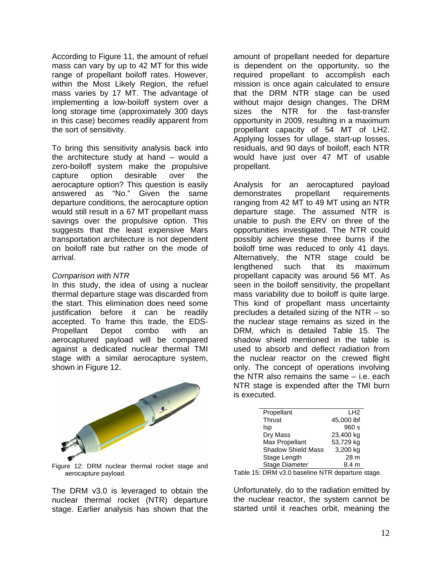According to Figure 11, the amount of refuel mass can vary by up to 42 MT for this wide range of propellant boiloff rates. However, within the Most Likely Region, the refuel mass varies by 17 MT. The advantage of implementing a low-boiloff system over a long storage time (approximately 300 days in this case) becomes readily apparent from the sort of sensitivity.

To bring this sensitivity analysis back into the architecture study at hand – would a zero-boiloff system make the propulsive capture option desirable over the aerocapture option? This question is easily answered as "No." Given the same departure conditions, the aerocapture option would still result in a 67 MT propellant mass savings over the propulsive option. This suggests that the least expensive Mars transportation architecture is not dependent on boiloff rate but rather on the mode of arrival.

### *Comparison with NTR*

In this study, the idea of using a nuclear thermal departure stage was discarded from the start. This elimination does need some justification before it can be readily accepted. To frame this trade, the EDS-Propellant Depot combo with an aerocaptured payload will be compared against a dedicated nuclear thermal TMI stage with a similar aerocapture system, shown in Figure 12.



Figure 12: DRM nuclear thermal rocket stage and aerocapture payload.

The DRM v3.0 is leveraged to obtain the nuclear thermal rocket (NTR) departure stage. Earlier analysis has shown that the

amount of propellant needed for departure is dependent on the opportunity, so the required propellant to accomplish each mission is once again calculated to ensure that the DRM NTR stage can be used without major design changes. The DRM sizes the NTR for the fast-transfer opportunity in 2009, resulting in a maximum propellant capacity of 54 MT of LH2. Applying losses for ullage, start-up losses, residuals, and 90 days of boiloff, each NTR would have just over 47 MT of usable propellant.

Analysis for an aerocaptured payload demonstrates propellant requirements ranging from 42 MT to 49 MT using an NTR departure stage. The assumed NTR is unable to push the ERV on three of the opportunities investigated. The NTR could possibly achieve these three burns if the boiloff time was reduced to only 41 days. Alternatively, the NTR stage could be lengthened such that its maximum propellant capacity was around 56 MT. As seen in the boiloff sensitivity, the propellant mass variability due to boiloff is quite large. This kind of propellant mass uncertainty precludes a detailed sizing of the NTR – so the nuclear stage remains as sized in the DRM, which is detailed Table 15. The shadow shield mentioned in the table is used to absorb and deflect radiation from the nuclear reactor on the crewed flight only. The concept of operations involving the NTR also remains the same – i.e. each NTR stage is expended after the TMI burn is executed.

| Propellant                | LH <sub>2</sub>  |
|---------------------------|------------------|
| <b>Thrust</b>             | 45,000 lbf       |
| Isp                       | 960 s            |
| Dry Mass                  | 23,400 kg        |
| <b>Max Propellant</b>     | 53,729 kg        |
| <b>Shadow Shield Mass</b> | 3,200 kg         |
| Stage Length              | 28 m             |
| Stage Diameter            | 8.4 <sub>m</sub> |

Table 15: DRM v3.0 baseline NTR departure stage.

Unfortunately, do to the radiation emitted by the nuclear reactor, the system cannot be started until it reaches orbit, meaning the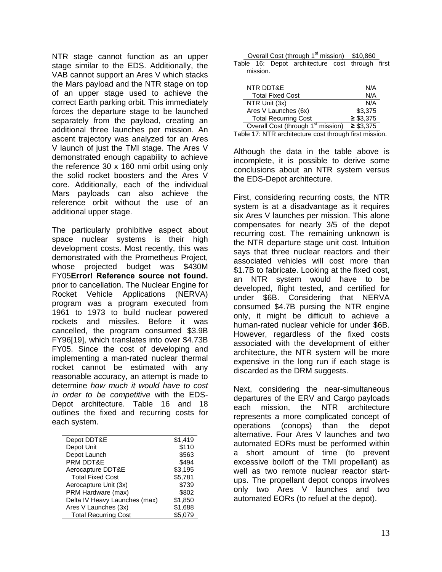NTR stage cannot function as an upper stage similar to the EDS. Additionally, the VAB cannot support an Ares V which stacks the Mars payload and the NTR stage on top of an upper stage used to achieve the correct Earth parking orbit. This immediately forces the departure stage to be launched separately from the payload, creating an additional three launches per mission. An ascent trajectory was analyzed for an Ares V launch of just the TMI stage. The Ares V demonstrated enough capability to achieve the reference 30 x 160 nmi orbit using only the solid rocket boosters and the Ares V core. Additionally, each of the individual Mars payloads can also achieve the reference orbit without the use of an additional upper stage.

The particularly prohibitive aspect about space nuclear systems is their high development costs. Most recently, this was demonstrated with the Prometheus Project, whose projected budget was \$430M FY05**Error! Reference source not found.** prior to cancellation. The Nuclear Engine for Rocket Vehicle Applications (NERVA) program was a program executed from 1961 to 1973 to build nuclear powered rockets and missiles. Before it was cancelled, the program consumed \$3.9B FY96[19], which translates into over \$4.73B FY05. Since the cost of developing and implementing a man-rated nuclear thermal rocket cannot be estimated with any reasonable accuracy, an attempt is made to determine *how much it would have to cost in order to be competitive* with the EDS-Depot architecture. Table 16 and 18 outlines the fixed and recurring costs for each system.

| Depot DDT&E                   | \$1,419 |
|-------------------------------|---------|
| Depot Unit                    | \$110   |
| Depot Launch                  | \$563   |
| PRM DDT&E                     | \$494   |
| Aerocapture DDT&E             | \$3,195 |
| <b>Total Fixed Cost</b>       | \$5,781 |
| Aerocapture Unit (3x)         | \$739   |
| PRM Hardware (max)            | \$802   |
| Delta IV Heavy Launches (max) | \$1,850 |
| Ares V Launches (3x)          | \$1,688 |
| <b>Total Recurring Cost</b>   | \$5.079 |

|          | Overall Cost (through 1 <sup>st</sup> mission) \$10,860 |  |  |
|----------|---------------------------------------------------------|--|--|
|          | Table 16: Depot architecture cost through first         |  |  |
| mission. |                                                         |  |  |

| NTR DDT&E                                      | N/A            |
|------------------------------------------------|----------------|
| <b>Total Fixed Cost</b>                        | N/A            |
| NTR Unit (3x)                                  | N/A            |
| Ares V Launches (6x)                           | \$3,375        |
| <b>Total Recurring Cost</b>                    | $2$ \$3,375    |
| Overall Cost (through 1 <sup>st</sup> mission) | $\geq$ \$3,375 |

Table 17: NTR architecture cost through first mission.

Although the data in the table above is incomplete, it is possible to derive some conclusions about an NTR system versus the EDS-Depot architecture.

First, considering recurring costs, the NTR system is at a disadvantage as it requires six Ares V launches per mission. This alone compensates for nearly 3/5 of the depot recurring cost. The remaining unknown is the NTR departure stage unit cost. Intuition says that three nuclear reactors and their associated vehicles will cost more than \$1.7B to fabricate. Looking at the fixed cost, an NTR system would have to be developed, flight tested, and certified for under \$6B. Considering that NERVA consumed \$4.7B pursing the NTR engine only, it might be difficult to achieve a human-rated nuclear vehicle for under \$6B. However, regardless of the fixed costs associated with the development of either architecture, the NTR system will be more expensive in the long run if each stage is discarded as the DRM suggests.

Next, considering the near-simultaneous departures of the ERV and Cargo payloads each mission, the NTR architecture represents a more complicated concept of operations (conops) than the depot alternative. Four Ares V launches and two automated EORs must be performed within a short amount of time (to prevent excessive boiloff of the TMI propellant) as well as two remote nuclear reactor startups. The propellant depot conops involves only two Ares V launches and two automated EORs (to refuel at the depot).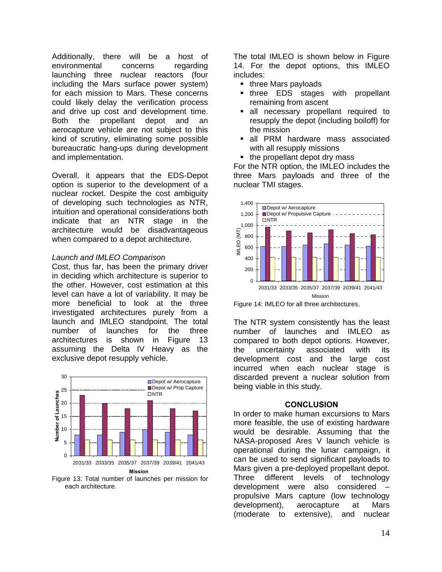Additionally, there will be a host of environmental concerns regarding launching three nuclear reactors (four including the Mars surface power system) for each mission to Mars. These concerns could likely delay the verification process and drive up cost and development time. Both the propellant depot and an aerocapture vehicle are not subject to this kind of scrutiny, eliminating some possible bureaucratic hang-ups during development and implementation.

Overall, it appears that the EDS-Depot option is superior to the development of a nuclear rocket. Despite the cost ambiguity of developing such technologies as NTR, intuition and operational considerations both indicate that an NTR stage in the architecture would be disadvantageous when compared to a depot architecture.

#### *Launch and IMLEO Comparison*

Cost, thus far, has been the primary driver in deciding which architecture is superior to the other. However, cost estimation at this level can have a lot of variability. It may be more beneficial to look at the three investigated architectures purely from a launch and IMLEO standpoint. The total number of launches for the three architectures is shown in Figure 13 assuming the Delta IV Heavy as the exclusive depot resupply vehicle.



Figure 13: Total number of launches per mission for each architecture.

The total IMLEO is shown below in Figure 14. For the depot options, this IMLEO includes:

- three Mars payloads
- **formular** three EDS stages with propellant remaining from ascent
- all necessary propellant required to resupply the depot (including boiloff) for the mission
- all PRM hardware mass associated with all resupply missions
- the propellant depot dry mass

For the NTR option, the IMLEO includes the three Mars payloads and three of the nuclear TMI stages.





The NTR system consistently has the least number of launches and IMLEO as compared to both depot options. However, the uncertainty associated with its development cost and the large cost incurred when each nuclear stage is discarded prevent a nuclear solution from being viable in this study.

#### **CONCLUSION**

In order to make human excursions to Mars more feasible, the use of existing hardware would be desirable. Assuming that the NASA-proposed Ares V launch vehicle is operational during the lunar campaign, it can be used to send significant payloads to Mars given a pre-deployed propellant depot. Three different levels of technology development were also considered propulsive Mars capture (low technology development), aerocapture at Mars (moderate to extensive), and nuclear